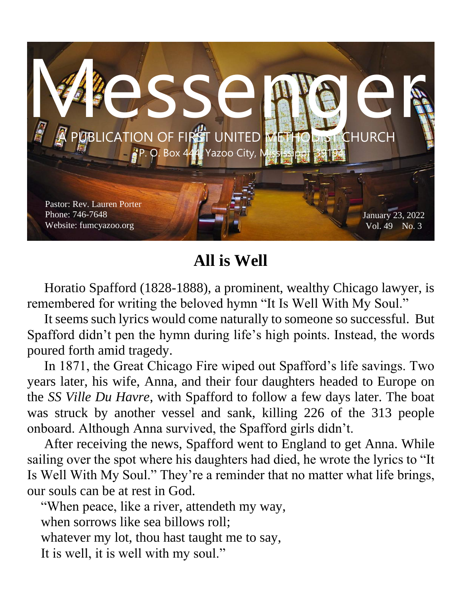

## **All is Well**

 Horatio Spafford (1828-1888), a prominent, wealthy Chicago lawyer, is remembered for writing the beloved hymn "It Is Well With My Soul."

 It seems such lyrics would come naturally to someone so successful. But Spafford didn't pen the hymn during life's high points. Instead, the words poured forth amid tragedy.

 In 1871, the Great Chicago Fire wiped out Spafford's life savings. Two years later, his wife, Anna, and their four daughters headed to Europe on the *SS Ville Du Havre*, with Spafford to follow a few days later. The boat was struck by another vessel and sank, killing 226 of the 313 people onboard. Although Anna survived, the Spafford girls didn't.

 After receiving the news, Spafford went to England to get Anna. While sailing over the spot where his daughters had died, he wrote the lyrics to "It Is Well With My Soul." They're a reminder that no matter what life brings, our souls can be at rest in God.

 "When peace, like a river, attendeth my way, when sorrows like sea billows roll: whatever my lot, thou hast taught me to say, It is well, it is well with my soul."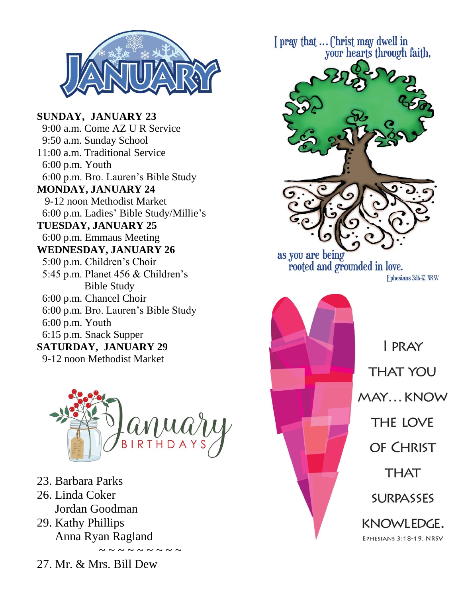

**SUNDAY, JANUARY 23** 9:00 a.m. Come AZ U R Service 9:50 a.m. Sunday School 11:00 a.m. Traditional Service 6:00 p.m. Youth 6:00 p.m. Bro. Lauren's Bible Study **MONDAY, JANUARY 24** 9-12 noon Methodist Market 6:00 p.m. Ladies' Bible Study/Millie's **TUESDAY, JANUARY 25** 6:00 p.m. Emmaus Meeting **WEDNESDAY, JANUARY 26** 5:00 p.m. Children's Choir 5:45 p.m. Planet 456 & Children's Bible Study 6:00 p.m. Chancel Choir 6:00 p.m. Bro. Lauren's Bible Study 6:00 p.m. Youth 6:15 p.m. Snack Supper **SATURDAY, JANUARY 29**

9-12 noon Methodist Market



- 23. Barbara Parks
- 26. Linda Coker
	- Jordan Goodman
- 29. Kathy Phillips Anna Ryan Ragland
- 27. Mr. & Mrs. Bill Dew

 $\sim$   $\sim$   $\sim$   $\sim$   $\sim$ 



KNOWLEDGE. EPHESIANS 3:18-19, NRSV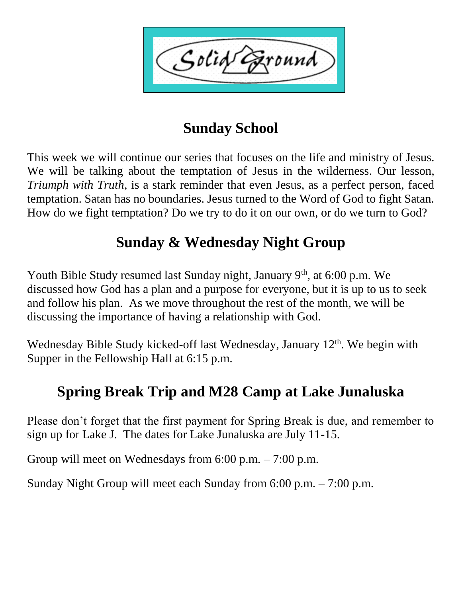Solid ound'

## **Sunday School**

This week we will continue our series that focuses on the life and ministry of Jesus. We will be talking about the temptation of Jesus in the wilderness. Our lesson, *Triumph with Truth,* is a stark reminder that even Jesus, as a perfect person, faced temptation. Satan has no boundaries. Jesus turned to the Word of God to fight Satan. How do we fight temptation? Do we try to do it on our own, or do we turn to God?

## **Sunday & Wednesday Night Group**

Youth Bible Study resumed last Sunday night, January 9<sup>th</sup>, at 6:00 p.m. We discussed how God has a plan and a purpose for everyone, but it is up to us to seek and follow his plan. As we move throughout the rest of the month, we will be discussing the importance of having a relationship with God.

Wednesday Bible Study kicked-off last Wednesday, January 12<sup>th</sup>. We begin with Supper in the Fellowship Hall at 6:15 p.m.

# **Spring Break Trip and M28 Camp at Lake Junaluska**

Please don't forget that the first payment for Spring Break is due, and remember to sign up for Lake J. The dates for Lake Junaluska are July 11-15.

Group will meet on Wednesdays from 6:00 p.m. – 7:00 p.m.

Sunday Night Group will meet each Sunday from 6:00 p.m. – 7:00 p.m.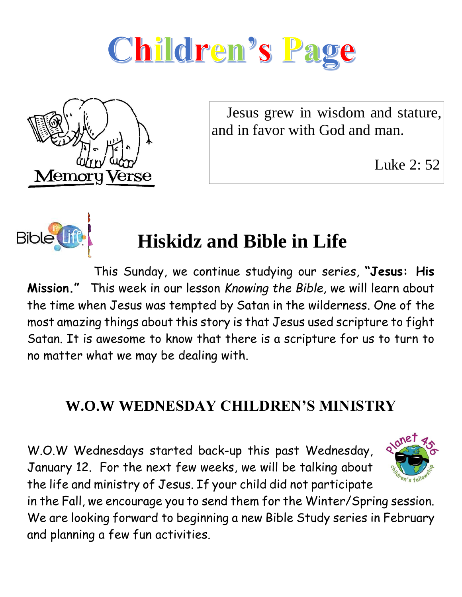



 Jesus grew in wisdom and stature, and in favor with God and man.

Luke 2: 52



# **Hiskidz and Bible in Life**

This Sunday, we continue studying our series, **"Jesus: His Mission."** This week in our lesson *Knowing the Bible,* we will learn about the time when Jesus was tempted by Satan in the wilderness. One of the most amazing things about this story is that Jesus used scripture to fight Satan. It is awesome to know that there is a scripture for us to turn to no matter what we may be dealing with.

#### **W.O.W WEDNESDAY CHILDREN'S MINISTRY**

W.O.W Wednesdays started back-up this past Wednesday, January 12. For the next few weeks, we will be talking about the life and ministry of Jesus. If your child did not participate



in the Fall, we encourage you to send them for the Winter/Spring session. We are looking forward to beginning a new Bible Study series in February and planning a few fun activities.